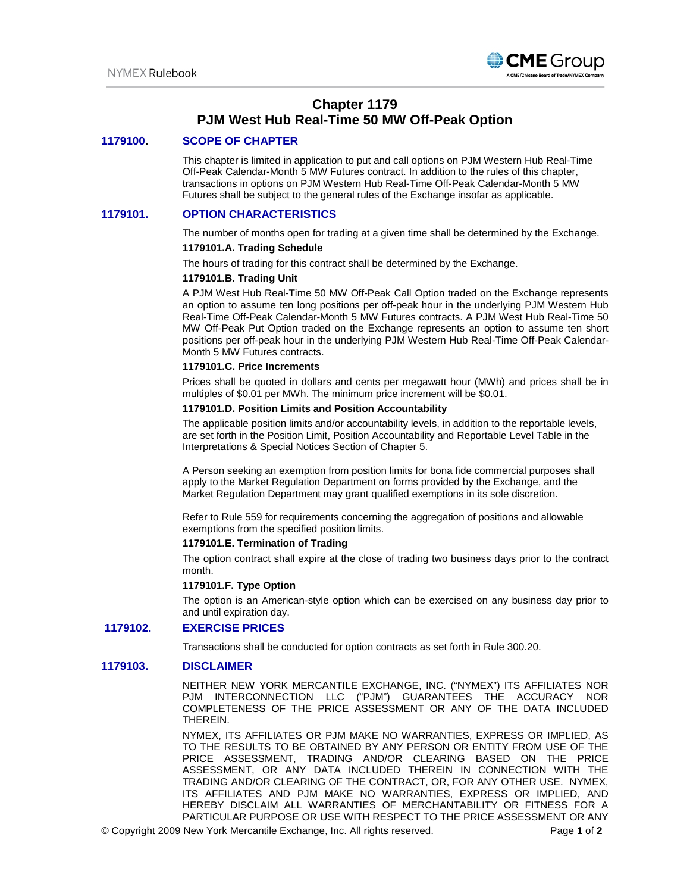

# **Chapter 1179 PJM West Hub Real-Time 50 MW Off-Peak Option**

## **1179100. SCOPE OF CHAPTER**

This chapter is limited in application to put and call options on PJM Western Hub Real-Time Off-Peak Calendar-Month 5 MW Futures contract. In addition to the rules of this chapter, transactions in options on PJM Western Hub Real-Time Off-Peak Calendar-Month 5 MW Futures shall be subject to the general rules of the Exchange insofar as applicable.

## **1179101. OPTION CHARACTERISTICS**

The number of months open for trading at a given time shall be determined by the Exchange.

#### **1179101.A. Trading Schedule**

The hours of trading for this contract shall be determined by the Exchange.

# **1179101.B. Trading Unit**

A PJM West Hub Real-Time 50 MW Off-Peak Call Option traded on the Exchange represents an option to assume ten long positions per off-peak hour in the underlying PJM Western Hub Real-Time Off-Peak Calendar-Month 5 MW Futures contracts. A PJM West Hub Real-Time 50 MW Off-Peak Put Option traded on the Exchange represents an option to assume ten short positions per off-peak hour in the underlying PJM Western Hub Real-Time Off-Peak Calendar-Month 5 MW Futures contracts.

#### **1179101.C. Price Increments**

Prices shall be quoted in dollars and cents per megawatt hour (MWh) and prices shall be in multiples of \$0.01 per MWh. The minimum price increment will be \$0.01.

## **1179101.D. Position Limits and Position Accountability**

The applicable position limits and/or accountability levels, in addition to the reportable levels, are set forth in the Position Limit, Position Accountability and Reportable Level Table in the Interpretations & Special Notices Section of Chapter 5.

A Person seeking an exemption from position limits for bona fide commercial purposes shall apply to the Market Regulation Department on forms provided by the Exchange, and the Market Regulation Department may grant qualified exemptions in its sole discretion.

Refer to Rule 559 for requirements concerning the aggregation of positions and allowable exemptions from the specified position limits.

#### **1179101.E. Termination of Trading**

The option contract shall expire at the close of trading two business days prior to the contract month.

#### **1179101.F. Type Option**

The option is an American-style option which can be exercised on any business day prior to and until expiration day.

#### **1179102. EXERCISE PRICES**

Transactions shall be conducted for option contracts as set forth in Rule 300.20.

## **1179103. DISCLAIMER**

NEITHER NEW YORK MERCANTILE EXCHANGE, INC. ("NYMEX") ITS AFFILIATES NOR PJM INTERCONNECTION LLC ("PJM") GUARANTEES THE ACCURACY NOR COMPLETENESS OF THE PRICE ASSESSMENT OR ANY OF THE DATA INCLUDED THEREIN.

NYMEX, ITS AFFILIATES OR PJM MAKE NO WARRANTIES, EXPRESS OR IMPLIED, AS TO THE RESULTS TO BE OBTAINED BY ANY PERSON OR ENTITY FROM USE OF THE PRICE ASSESSMENT, TRADING AND/OR CLEARING BASED ON THE PRICE ASSESSMENT, OR ANY DATA INCLUDED THEREIN IN CONNECTION WITH THE TRADING AND/OR CLEARING OF THE CONTRACT, OR, FOR ANY OTHER USE. NYMEX, ITS AFFILIATES AND PJM MAKE NO WARRANTIES, EXPRESS OR IMPLIED, AND HEREBY DISCLAIM ALL WARRANTIES OF MERCHANTABILITY OR FITNESS FOR A PARTICULAR PURPOSE OR USE WITH RESPECT TO THE PRICE ASSESSMENT OR ANY

© Copyright 2009 New York Mercantile Exchange, Inc. All rights reserved. Page **1** of **2**